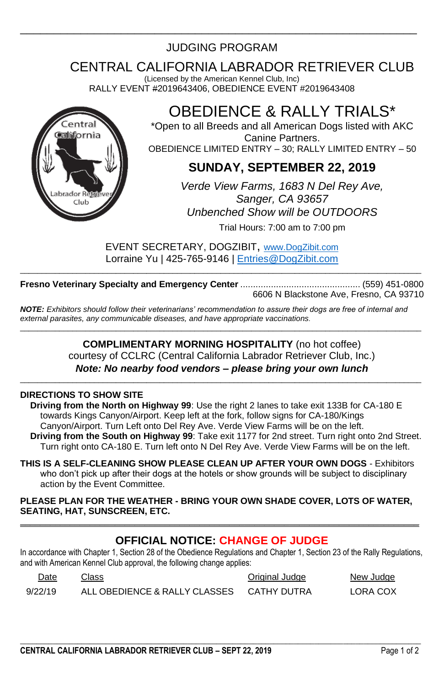# \_\_\_\_\_\_\_\_\_\_\_\_\_\_\_\_\_\_\_\_\_\_\_\_\_\_\_\_\_\_\_\_\_\_\_\_\_\_\_\_\_\_\_\_\_\_\_\_\_\_\_\_\_\_\_\_\_\_\_ JUDGING PROGRAM

# CENTRAL CALIFORNIA LABRADOR RETRIEVER CLUB

(Licensed by the American Kennel Club, Inc) RALLY EVENT #2019643406, OBEDIENCE EVENT #2019643408



# OBEDIENCE & RALLY TRIALS\*

\*Open to all Breeds and all American Dogs listed with AKC Canine Partners. OBEDIENCE LIMITED ENTRY – 30; RALLY LIMITED ENTRY – 50

## **SUNDAY, SEPTEMBER 22, 2019**

*Verde View Farms, 1683 N Del Rey Ave, Sanger, CA 93657 Unbenched Show will be OUTDOORS* Trial Hours: 7:00 am to 7:00 pm

EVENT SECRETARY, DOGZIBIT, [www.DogZibit.com](http://www.dogzibit.com/) Lorraine Yu | 425-765-9146 [| Entries@DogZibit.com](mailto:Entries@DogZibit.com) \_\_\_\_\_\_\_\_\_\_\_\_\_\_\_\_\_\_\_\_\_\_\_\_\_\_\_\_\_\_\_\_\_\_\_\_\_\_\_\_\_\_\_\_\_\_\_\_\_\_\_\_\_\_\_\_\_\_\_\_\_\_\_\_\_\_\_\_\_\_\_\_\_\_\_\_\_\_\_\_\_\_\_\_\_\_\_\_\_\_\_\_

**Fresno Veterinary Specialty and Emergency Center** ............................................... (559) 451-0800 6606 N Blackstone Ave, Fresno, CA 93710

*NOTE: Exhibitors should follow their veterinarians' recommendation to assure their dogs are free of internal and external parasites, any communicable diseases, and have appropriate vaccinations.* \_\_\_\_\_\_\_\_\_\_\_\_\_\_\_\_\_\_\_\_\_\_\_\_\_\_\_\_\_\_\_\_\_\_\_\_\_\_\_\_\_\_\_\_\_\_\_\_\_\_\_\_\_\_\_\_\_\_\_\_\_\_\_\_\_\_\_\_\_\_\_\_\_\_\_\_\_\_\_\_\_\_\_\_\_\_\_\_\_\_\_\_

### **COMPLIMENTARY MORNING HOSPITALITY** (no hot coffee) courtesy of CCLRC (Central California Labrador Retriever Club, Inc.) *Note: No nearby food vendors – please bring your own lunch*

\_\_\_\_\_\_\_\_\_\_\_\_\_\_\_\_\_\_\_\_\_\_\_\_\_\_\_\_\_\_\_\_\_\_\_\_\_\_\_\_\_\_\_\_\_\_\_\_\_\_\_\_\_\_\_\_\_\_\_\_\_\_\_\_\_\_\_\_\_\_\_\_\_\_\_\_\_\_\_\_\_\_\_\_\_\_\_\_\_\_\_\_

### **DIRECTIONS TO SHOW SITE**

**Driving from the North on Highway 99**: Use the right 2 lanes to take exit 133B for CA-180 E towards Kings Canyon/Airport. Keep left at the fork, follow signs for CA-180/Kings Canyon/Airport. Turn Left onto Del Rey Ave. Verde View Farms will be on the left. **Driving from the South on Highway 99**: Take exit 1177 for 2nd street. Turn right onto 2nd Street. Turn right onto CA-180 E. Turn left onto N Del Rey Ave. Verde View Farms will be on the left.

**THIS IS A SELF-CLEANING SHOW PLEASE CLEAN UP AFTER YOUR OWN DOGS** - Exhibitors who don't pick up after their dogs at the hotels or show grounds will be subject to disciplinary action by the Event Committee.

**PLEASE PLAN FOR THE WEATHER - BRING YOUR OWN SHADE COVER, LOTS OF WATER, SEATING, HAT, SUNSCREEN, ETC. \_\_\_\_\_\_\_\_\_\_\_\_\_\_\_\_\_\_\_\_\_\_\_\_\_\_\_\_\_\_\_\_\_\_\_\_\_\_\_\_\_\_\_\_\_\_\_\_\_\_\_\_\_\_\_\_\_\_\_\_\_\_\_\_\_\_\_\_\_\_\_\_\_\_\_\_\_\_\_\_**

### **OFFICIAL NOTICE: CHANGE OF JUDGE**

In accordance with Chapter 1, Section 28 of the Obedience Regulations and Chapter 1, Section 23 of the Rally Regulations, and with American Kennel Club approval, the following change applies:

 $\_$  ,  $\_$  ,  $\_$  ,  $\_$  ,  $\_$  ,  $\_$  ,  $\_$  ,  $\_$  ,  $\_$  ,  $\_$  ,  $\_$  ,  $\_$  ,  $\_$  ,  $\_$  ,  $\_$  ,  $\_$  ,  $\_$  ,  $\_$  ,  $\_$  ,  $\_$  ,  $\_$  ,  $\_$  ,  $\_$  ,  $\_$  ,  $\_$  ,  $\_$  ,  $\_$  ,  $\_$  ,  $\_$  ,  $\_$  ,  $\_$  ,  $\_$  ,  $\_$  ,  $\_$  ,  $\_$  ,  $\_$  ,  $\_$  ,

| Date    | Class                         | Original Judge | New Judge |
|---------|-------------------------------|----------------|-----------|
| 9/22/19 | ALL OBEDIENCE & RALLY CLASSES | CATHY DUTRA    | LORA COX  |